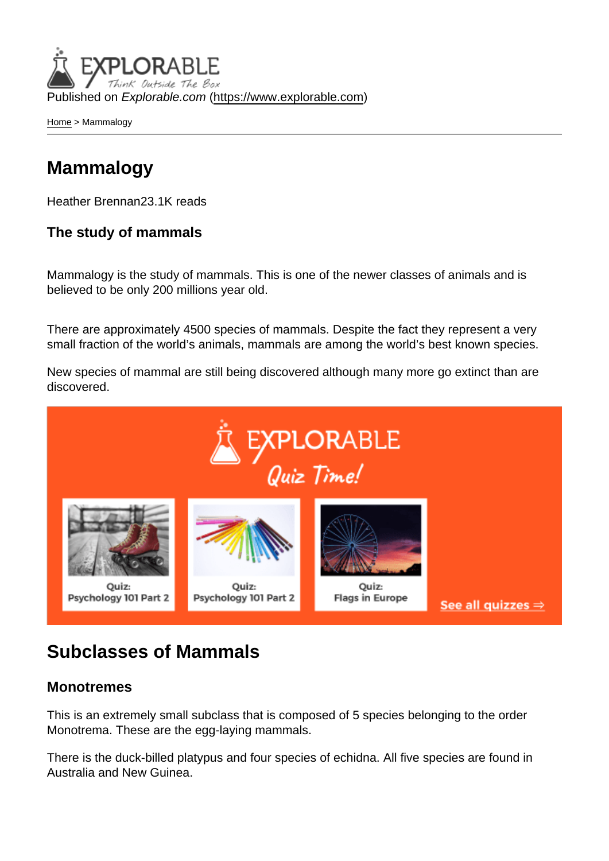Published on Explorable.com (<https://www.explorable.com>)

[Home](https://www.explorable.com/) > Mammalogy

## Mammalogy

Heather Brennan23.1K reads

The study of mammals

Mammalogy is the study of mammals. This is one of the newer classes of animals and is believed to be only 200 millions year old.

There are approximately 4500 species of mammals. Despite the fact they represent a very small fraction of the world's animals, mammals are among the world's best known species.

New species of mammal are still being discovered although many more go extinct than are discovered.

### Subclasses of Mammals

#### **Monotremes**

This is an extremely small subclass that is composed of 5 species belonging to the order Monotrema. These are the egg-laying mammals.

There is the duck-billed platypus and four species of echidna. All five species are found in Australia and New Guinea.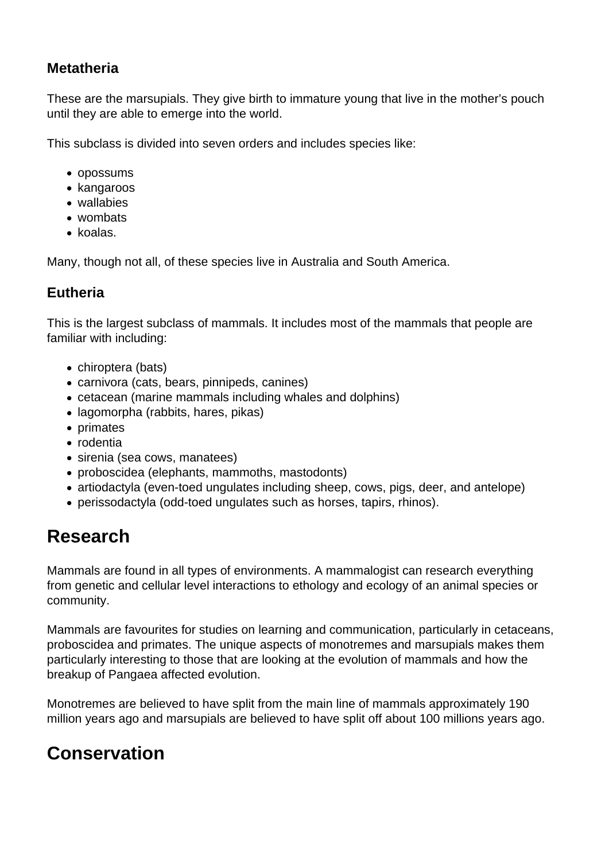#### **Metatheria**

These are the marsupials. They give birth to immature young that live in the mother's pouch until they are able to emerge into the world.

This subclass is divided into seven orders and includes species like:

- opossums
- kangaroos
- wallabies
- wombats
- $\bullet$  koalas.

Many, though not all, of these species live in Australia and South America.

### **Eutheria**

This is the largest subclass of mammals. It includes most of the mammals that people are familiar with including:

- chiroptera (bats)
- carnivora (cats, bears, pinnipeds, canines)
- cetacean (marine mammals including whales and dolphins)
- lagomorpha (rabbits, hares, pikas)
- primates
- rodentia
- sirenia (sea cows, manatees)
- proboscidea (elephants, mammoths, mastodonts)
- artiodactyla (even-toed ungulates including sheep, cows, pigs, deer, and antelope)
- perissodactyla (odd-toed ungulates such as horses, tapirs, rhinos).

# **Research**

Mammals are found in all types of environments. A mammalogist can research everything from genetic and cellular level interactions to ethology and ecology of an animal species or community.

Mammals are favourites for studies on learning and communication, particularly in cetaceans, proboscidea and primates. The unique aspects of monotremes and marsupials makes them particularly interesting to those that are looking at the evolution of mammals and how the breakup of Pangaea affected evolution.

Monotremes are believed to have split from the main line of mammals approximately 190 million years ago and marsupials are believed to have split off about 100 millions years ago.

# **Conservation**